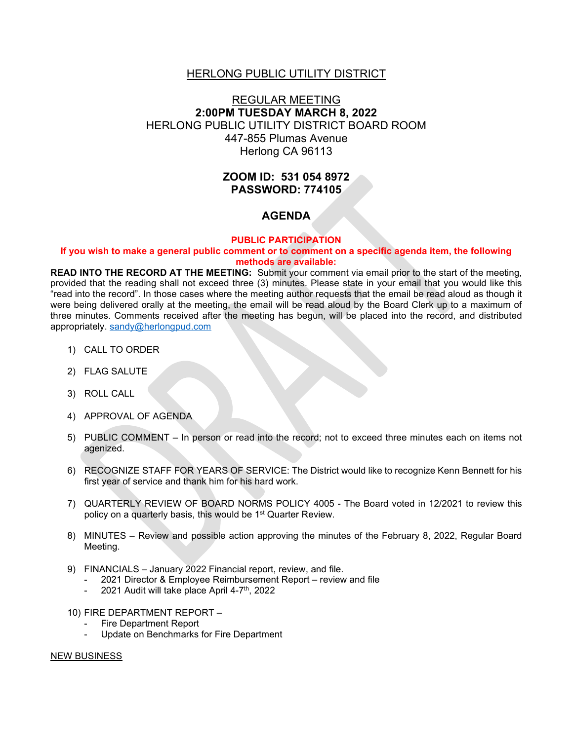## HERLONG PUBLIC UTILITY DISTRICT

# REGULAR MEETING **2:00PM TUESDAY MARCH 8, 2022** HERLONG PUBLIC UTILITY DISTRICT BOARD ROOM 447-855 Plumas Avenue Herlong CA 96113

# **ZOOM ID: 531 054 8972 PASSWORD: 774105**

## **AGENDA**

### **PUBLIC PARTICIPATION**

### **If you wish to make a general public comment or to comment on a specific agenda item, the following methods are available:**

**READ INTO THE RECORD AT THE MEETING:** Submit your comment via email prior to the start of the meeting, provided that the reading shall not exceed three (3) minutes. Please state in your email that you would like this "read into the record". In those cases where the meeting author requests that the email be read aloud as though it were being delivered orally at the meeting, the email will be read aloud by the Board Clerk up to a maximum of three minutes. Comments received after the meeting has begun, will be placed into the record, and distributed appropriately. [sandy@herlongpud.com](mailto:sandy@herlongpud.com)

- 1) CALL TO ORDER
- 2) FLAG SALUTE
- 3) ROLL CALL
- 4) APPROVAL OF AGENDA
- 5) PUBLIC COMMENT In person or read into the record; not to exceed three minutes each on items not agenized.
- 6) RECOGNIZE STAFF FOR YEARS OF SERVICE: The District would like to recognize Kenn Bennett for his first year of service and thank him for his hard work.
- 7) QUARTERLY REVIEW OF BOARD NORMS POLICY 4005 The Board voted in 12/2021 to review this policy on a quarterly basis, this would be 1<sup>st</sup> Quarter Review.
- 8) MINUTES Review and possible action approving the minutes of the February 8, 2022, Regular Board Meeting.
- 9) FINANCIALS January 2022 Financial report, review, and file.
	- 2021 Director & Employee Reimbursement Report review and file
	- 2021 Audit will take place April 4-7<sup>th</sup>, 2022
- 10) FIRE DEPARTMENT REPORT
	- Fire Department Report
	- Update on Benchmarks for Fire Department

#### NEW BUSINESS